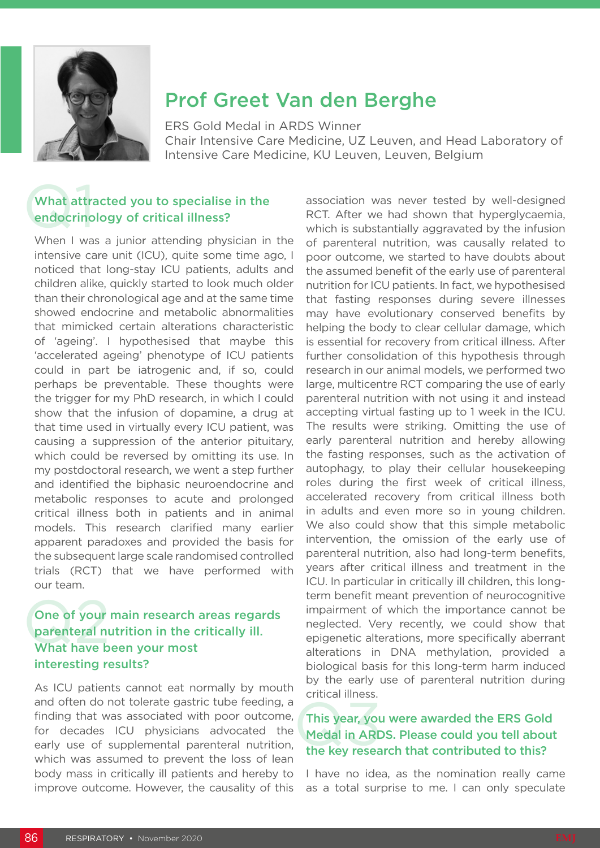

# Prof Greet Van den Berghe

ERS Gold Medal in ARDS Winner Chair Intensive Care Medicine, UZ Leuven, and Head Laboratory of Intensive Care Medicine, KU Leuven, Leuven, Belgium

# What attra<br>endocrino What attracted you to specialise in the endocrinology of critical illness?

When I was a junior attending physician in the intensive care unit (ICU), quite some time ago, I noticed that long-stay ICU patients, adults and children alike, quickly started to look much older than their chronological age and at the same time showed endocrine and metabolic abnormalities that mimicked certain alterations characteristic of 'ageing'. I hypothesised that maybe this 'accelerated ageing' phenotype of ICU patients could in part be iatrogenic and, if so, could perhaps be preventable. These thoughts were the trigger for my PhD research, in which I could show that the infusion of dopamine, a drug at that time used in virtually every ICU patient, was causing a suppression of the anterior pituitary, which could be reversed by omitting its use. In my postdoctoral research, we went a step further and identified the biphasic neuroendocrine and metabolic responses to acute and prolonged critical illness both in patients and in animal models. This research clarified many earlier apparent paradoxes and provided the basis for the subsequent large scale randomised controlled trials (RCT) that we have performed with our team.

## One of your<br>parenteral nu<br>What have b One of your main research areas regards parenteral nutrition in the critically ill. What have been your most interesting results?

As ICU patients cannot eat normally by mouth and often do not tolerate gastric tube feeding, a finding that was associated with poor outcome, for decades ICU physicians advocated the early use of supplemental parenteral nutrition, which was assumed to prevent the loss of lean body mass in critically ill patients and hereby to improve outcome. However, the causality of this

association was never tested by well-designed RCT. After we had shown that hyperglycaemia, which is substantially aggravated by the infusion of parenteral nutrition, was causally related to poor outcome, we started to have doubts about the assumed benefit of the early use of parenteral nutrition for ICU patients. In fact, we hypothesised that fasting responses during severe illnesses may have evolutionary conserved benefits by helping the body to clear cellular damage, which is essential for recovery from critical illness. After further consolidation of this hypothesis through research in our animal models, we performed two large, multicentre RCT comparing the use of early parenteral nutrition with not using it and instead accepting virtual fasting up to 1 week in the ICU. The results were striking. Omitting the use of early parenteral nutrition and hereby allowing the fasting responses, such as the activation of autophagy, to play their cellular housekeeping roles during the first week of critical illness, accelerated recovery from critical illness both in adults and even more so in young children. We also could show that this simple metabolic intervention, the omission of the early use of parenteral nutrition, also had long-term benefits, years after critical illness and treatment in the ICU. In particular in critically ill children, this longterm benefit meant prevention of neurocognitive impairment of which the importance cannot be neglected. Very recently, we could show that epigenetic alterations, more specifically aberrant alterations in DNA methylation, provided a biological basis for this long-term harm induced by the early use of parenteral nutrition during critical illness.

#### This year, you<br>Medal in ARD<br>the key resea This year, you were awarded the ERS Gold Medal in ARDS. Please could you tell about the key research that contributed to this?

I have no idea, as the nomination really came as a total surprise to me. I can only speculate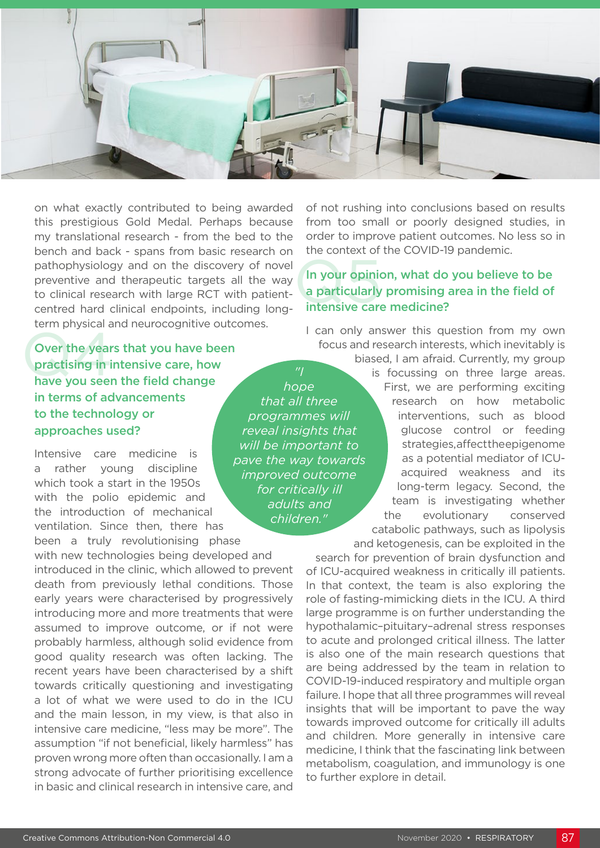

on what exactly contributed to being awarded this prestigious Gold Medal. Perhaps because my translational research - from the bed to the bench and back - spans from basic research on pathophysiology and on the discovery of novel preventive and therapeutic targets all the way to clinical research with large RCT with patientcentred hard clinical endpoints, including longterm physical and neurocognitive outcomes.

Over the years that you have been practising in intensive care, how have you seen the field change in terms of advancements to the technology or approaches used? Over the years that you have been<br>practising in intensive care, how<br>have you seen the field change

Intensive care medicine is a rather young discipline which took a start in the 1950s with the polio epidemic and the introduction of mechanical ventilation. Since then, there has been a truly revolutionising phase

with new technologies being developed and introduced in the clinic, which allowed to prevent death from previously lethal conditions. Those early years were characterised by progressively introducing more and more treatments that were assumed to improve outcome, or if not were probably harmless, although solid evidence from good quality research was often lacking. The recent years have been characterised by a shift towards critically questioning and investigating a lot of what we were used to do in the ICU and the main lesson, in my view, is that also in intensive care medicine, "less may be more". The assumption "if not beneficial, likely harmless" has proven wrong more often than occasionally. I am a strong advocate of further prioritising excellence in basic and clinical research in intensive care, and of not rushing into conclusions based on results from too small or poorly designed studies, in order to improve patient outcomes. No less so in the context of the COVID-19 pandemic.

#### In your opinion<br>a particularly<br>intensive card In your opinion, what do you believe to be a particularly promising area in the field of intensive care medicine?

I can only answer this question from my own focus and research interests, which inevitably is

> biased, I am afraid. Currently, my group is focussing on three large areas. First, we are performing exciting research on how metabolic interventions, such as blood glucose control or feeding strategies, affect the epigenome as a potential mediator of ICUacquired weakness and its long-term legacy. Second, the team is investigating whether the evolutionary conserved catabolic pathways, such as lipolysis and ketogenesis, can be exploited in the

search for prevention of brain dysfunction and of ICU-acquired weakness in critically ill patients. In that context, the team is also exploring the role of fasting-mimicking diets in the ICU. A third large programme is on further understanding the hypothalamic–pituitary–adrenal stress responses to acute and prolonged critical illness. The latter is also one of the main research questions that are being addressed by the team in relation to COVID-19-induced respiratory and multiple organ failure. I hope that all three programmes will reveal insights that will be important to pave the way towards improved outcome for critically ill adults and children. More generally in intensive care medicine, I think that the fascinating link between metabolism, coagulation, and immunology is one to further explore in detail.

*hope that all three programmes will reveal insights that will be important to pave the way towards improved outcome for critically ill adults and* 

*children."*